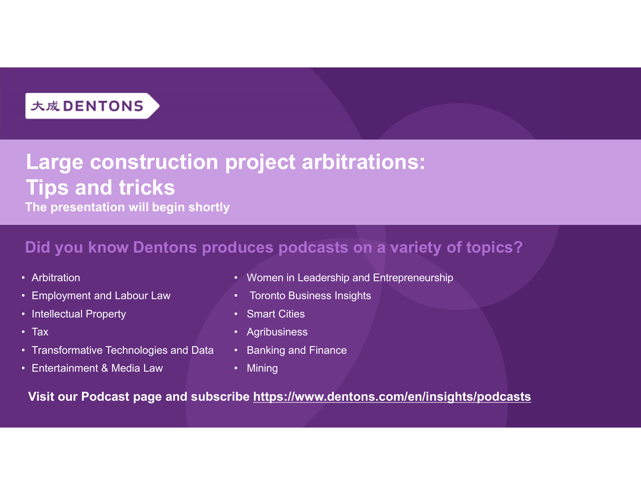#### Large construction project arbitrations: Tips and tricks The presentation will begin shortly **Example 2018 12:20 Arbitrary 12:30 Arbitration Structure Internet and Labour Law Changle 2019<br>
• Arbitration Structure Internet and Labour Law Produces po<br>
• Arbitration Property<br>
• Intellectual Property<br>
• Intellectual P Example 2018 CONSTRESS CONSTRESS CONSTRESS**<br>
Figs and tricks<br>
Tips and tricks<br>
The presentation will begin shortly<br>
Did you know Dentons produces podcasts on a varies<br>
• Women in Leadership and Entreprent<br>
• Employmen Example Construction project<br>
Tips and tricks<br>
The presentation will begin shortly<br>
Did you know Dentons produces po<br>
• Arbitration<br>
• Employment and Labour Law<br>
• The Hectual Property<br>
• Trax<br>
• Transformative Technolo Large construction project<br>
Tips and tricks<br>
The presentation will begin shortly<br>
Did you know Dentons produces po<br>
• Arbitration<br>
• Employment and Labour Law<br>
• Intellectual Property<br>
• Tax<br>
• Transformative Technologies • Transformative Technologies and Data Large construction project arbit<br>
Tips and tricks<br>
The presentation will begin shortly<br>
Did you know Dentons produces podcasts<br>
• Knotic Business Ins<br>
• Employment and Labour Law<br>
• Toronto Business Ins<br>
• Toronto Business • **roject arbitrations:**<br>• Women in Leadership and Entrepreneurship<br>• Women in Leadership and Entrepreneurship<br>• Toronto Business Insights<br>• Smart Cities<br>• Artibusiness • Toronto Business Insights **Project arbitrations:<br>
Unity of topics**<br>
• Women in Leadership and Entrepreneurship<br>
• Toronto Business Insights<br>
• Smart Cities<br>
• Agribusiness<br>
• Banking and Finance • Agribusiness **Project arbitrations:<br>
Huces podcasts on a variety of topics<br>
• Women in Leadership and Entrepreneurship<br>
• Toronto Business Insights<br>
• Smart Cities<br>
• Agribusiness<br>
• Banking and Finance<br>
• Mining<br>
be <u>https://www.dento**</u> **Project arbitrations:**<br><br>Iuces podcasts on a variety of topics<br>• Women in Leadership and Entrepreneurship<br>• Toronto Business Insights<br>• Smark Cities<br>• Agribusiness<br>• Mining<br>be <u>https://www.dentons.com/en/insights/podca</u>

#### Did you know Dentons produces podcasts on a variety of topics?

- 
- 
- 
- 
- 
- 
- 
- 
- 
- 
- 
- 

Visit our Podcast page and subscribe https://www.dentons.com/en/insights/podcasts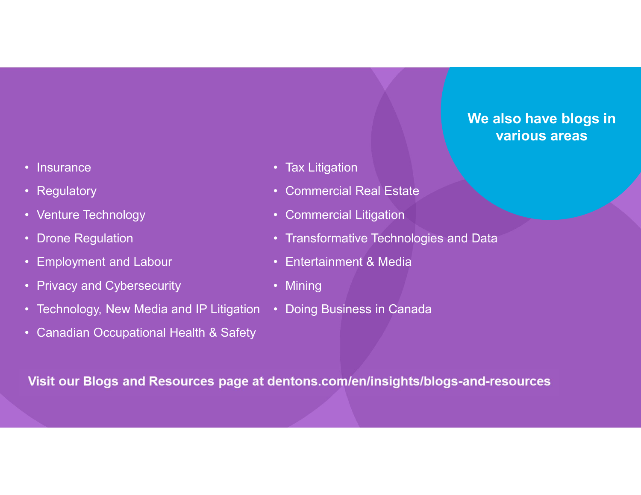# We also have blogs in various areas We also have<br>
various<br>
Fax Litigation<br>
Commercial Real Estate<br>
Commercial Litigation **Example 19 Separative Technologies and Data • Transformative Technologies and Data**<br>• Transformative Technologies and Data<br>• Entertainment & Media<br>• Mining

- 
- 
- Insurance • Regulatory
- 
- Venture Technology
- Insurance<br>• Regulatory Co<br>• Venture Technology Co<br>• Drone Regulation Tra<br>• Employment and Labour Employment and Labour Employment and Labour Mir
- Insurance<br>• Regulatory Co<br>• Venture Technology Co<br>• Drone Regulation Tra<br>• Employment and Labour Frivacy and Cybersecurity Mir<br>• Technology, New Media and IP Litigation Do • Insurance<br>• Regulatory<br>• Venture Technology<br>• Drone Regulation<br>• Employment and Labour<br>• Privacy and Cybersecurity<br>• Technology, New Media and IP Litigation<br>• Canadian Occupational Health & Safety • Insurance<br>
• Regulatory<br>
• Venture Technology<br>
• Venture Technology<br>
• Drone Regulation<br>
• Employment and Labour<br>
• Employment and Labour<br>
• Privacy and Cybersecurity<br>
• Technology, New Media and IP Litigation<br>
• Canadia
- 
- 
- 
- 
- We also have<br>• Tax Litigation<br>• Commercial Real Estate<br>• Commercial Litigation<br>• Transformative Technologies and Data We also have<br>
• Tax Litigation<br>
• Commercial Real Estate<br>
• Commercial Litigation<br>
• Transformative Technologies and Data<br>
• Entertainment & Media We also have various<br>• Tax Litigation<br>• Commercial Real Estate<br>• Commercial Litigation<br>• Transformative Technologies and Data<br>• Entertainment & Media<br>• Mining<br>• Doing Business in Canada We also have<br>
various<br>
• Tax Litigation<br>
• Commercial Real Estate<br>
• Commercial Litigation<br>
• Transformative Technologies and Data<br>
• Entertainment & Media<br>
• Mining<br>
• Doing Business in Canada We also hav<br>
• Tax Litigation<br>
• Commercial Real Estate<br>
• Commercial Litigation<br>
• Transformative Technologies and Data<br>
• Entertainment & Media<br>
• Mining<br>
• Doing Business in Canada
- 
- 
- 

• Insurance<br>
• Regulatory<br>
• Venture Technology<br>
• Drone Regulation<br>
• Employment and Labour<br>
• Employment and Labour<br>
• Transfor<br>
• Transfor<br>
• Transfor<br>
• Transfor<br>
• Cennology, New Media and IP Litigation<br>
• Cennology,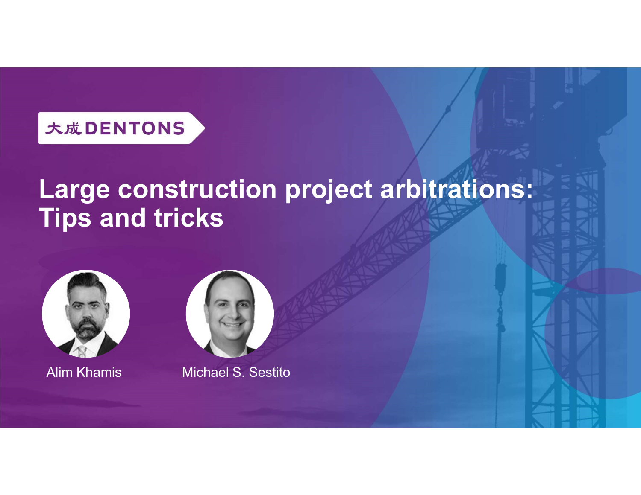

# Large construction project arbitrations: Tips and tricks Example Construction project arbitrips and tricks<br>
Alim Khamis Michael S. Sestito



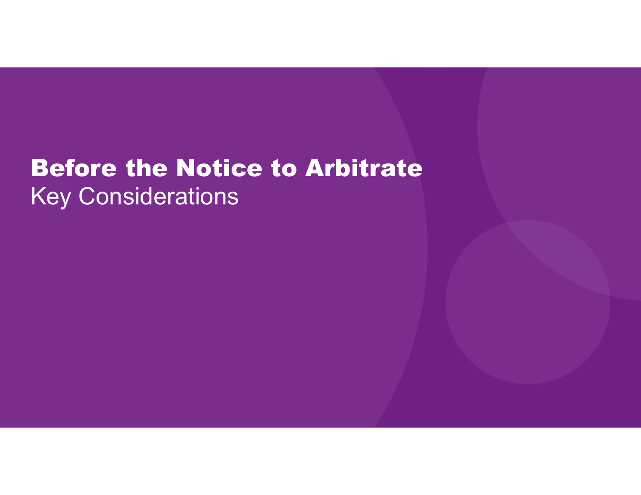### Before the Notice to Arbitrate Key Considerations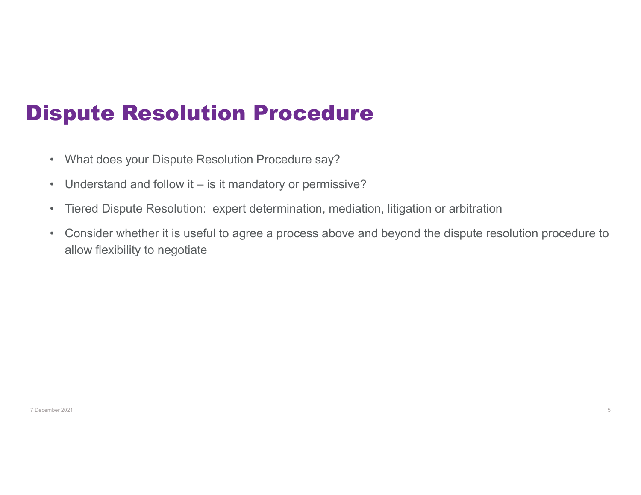# **spute Resolution Procedure**<br>• What does your Dispute Resolution Procedure say?<br>• Understand and follow it – is it mandatory or permissive?<br>• Tiered Dispute Resolution: expert determination, mediation, litigal **spute Resolution Procedure**<br>• What does your Dispute Resolution Procedure say?<br>• Understand and follow it – is it mandatory or permissive?<br>• Tiered Dispute Resolution: expert determination, mediation, litigation or arbitr Dispute Resolution Procedure

- 
- 
- 
- What does your Dispute Resolution: Procedure say?<br>• Understand and follow it is it mandatory or permissive?<br>• Tiered Dispute Resolution: expert determination, mediation, litigation or arbitration<br>• Consider whether it **spute Resolution Procedure**<br>• What does your Dispute Resolution Procedure say?<br>• Tered Dispute Resolution: expert determination, mediation, litigation or arbitration<br>• Consider whether it is useful to agree a process abov allow flexibility to negotiate • Tiered Dispute Resolution: expert determination, mediation, litigation or arbitration<br>
↑ Consider whether it is useful to agree a process above and beyond the dispute resolution procedure to<br>
allow flexibility to negoti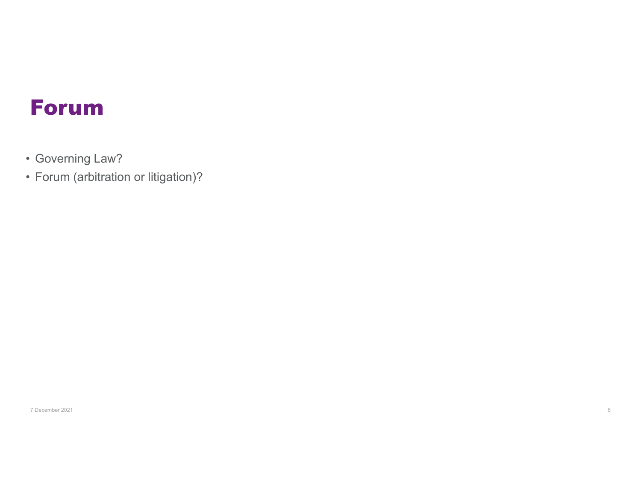#### Forum

- 
- Forum<br>• Governing Law?<br>• Forum (arbitration or litigation)? Forum<br>• Governing Law?<br>• Forum (arbitration or litigation)?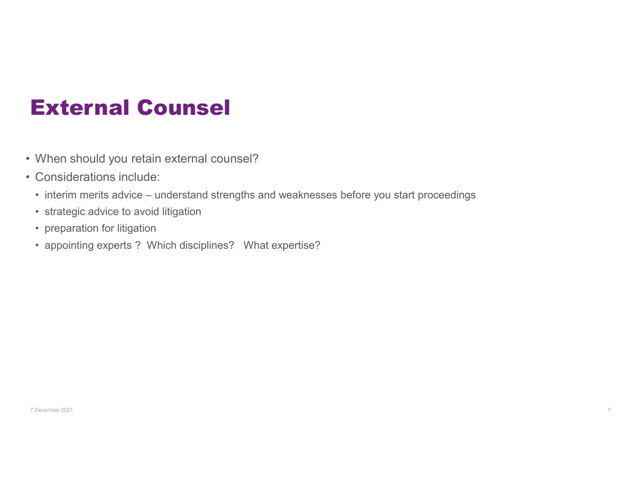## External Counsel<br>• When should you retain external counsel?<br>• Considerations include:<br>• interim merits advice – understand strengths and weaknesse External Counsel<br>• When should you retain external counsel?<br>• Considerations include:<br>• interim merits advice – understand strengths and weal<br>• strategic advice to avoid litigation<br>• preparation for litigation External Counsel<br>
When should you retain external counsel?<br>
Considerations include:<br>
• interim merits advice – understand strengths and weakn<br>
• strategic advice to avoid litigation<br>
• preparation for litigation<br>
• appoint External Counsel<br>
When should you retain external counsel?<br>
Considerations include:<br>
• interim merits advice – understand strengths and weakn<br>
• strategic advice to avoid litigation<br>
• preparation for litigation<br>
• appoint **External Counsel**<br>
When should you retain external counsel?<br>
Considerations include:<br>
• interim merits advice – understand strengths and weaknesses before you<br>
• strategic advice to avoid litigation<br>
• preparation for lit External Counsel

- 
- 
- **External Counsel<br>• When should you retain external counsel?**<br>• interim merits advice understand strengths and weaknesses before you start proceedings<br>• strategic advice to avoid litigation<br>• preparation for litigation<br>•
- 
- 
- The content and the content of the content of the content of the content of the content of the content of the content of the content of the content of the content of the content of the content of the content of the content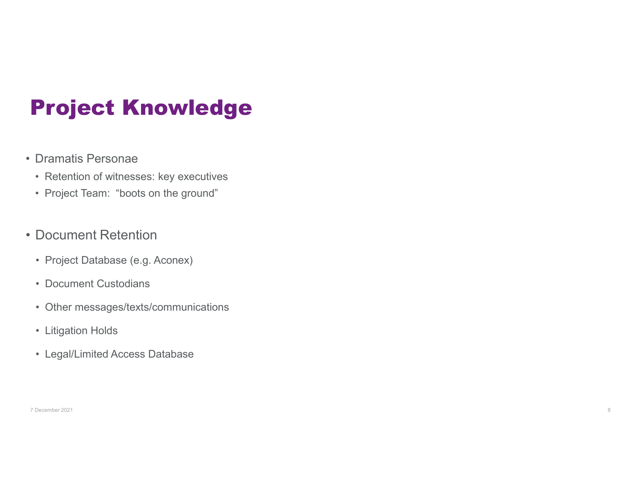# **Project Knowledge<br>
• Dramatis Personae<br>
• Retention of witnesses: key executives<br>
• Project Team: "boots on the ground" Project Knowledge**<br> **Dramatis Personae**<br>• Retention of witnesses: key executives<br>• Project Team: "boots on the ground" • Project Knowledge<br>• Retention of witnesses: key executives<br>• Project Team: "boots on the ground"<br>• Document Retention<br>• Project Database (e.g. Aconex)<br>• Document Custodians<br>• Litigation Holds<br>• Legal/Limited Access Datab Project Knowledge

- -
- 

- 
- 
- Document Retention<br>
 Project Database (e.g. Aconex)<br>
 Document Custodians<br>
 Other messages/texts/communications<br>
 Litigation Holds<br>
 Legal/Limited Access Database<br>
 Cesseter 2021
- 
-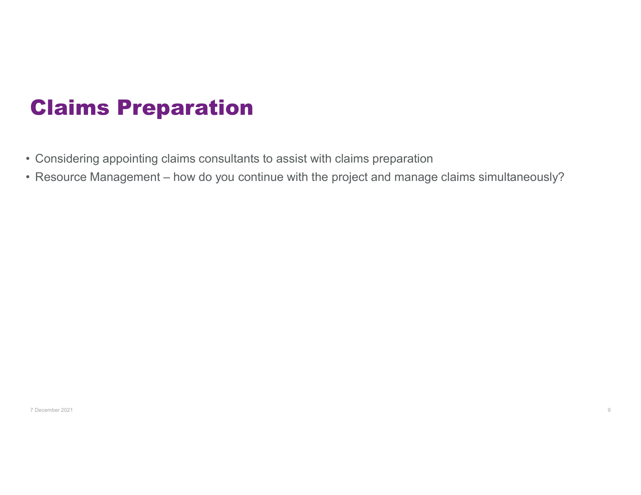#### Claims Preparation

- 
- **Claims Preparation**<br>• Considering appointing claims consultants to assist with claims preparation<br>• Resource Management how do you continue with the project and manage claims simultaneously? **Claims Preparation**<br>• Considering appointing claims consultants to assist with claims preparation<br>• Resource Management – how do you continue with the project and manage claims simultaneously?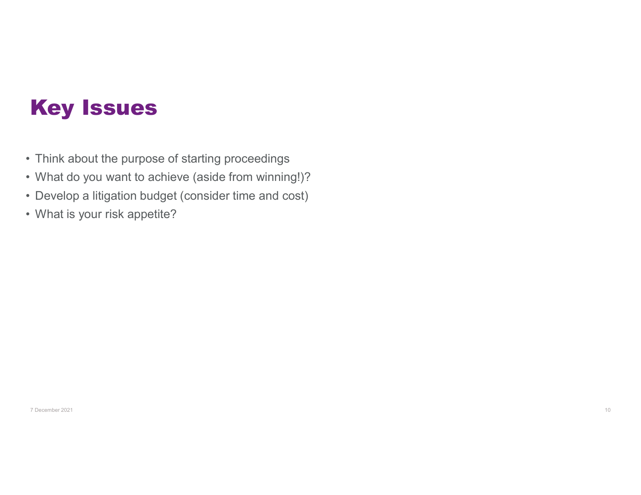#### Key Issues

- 
- **Key Issues**<br>• Think about the purpose of starting proceedings<br>• What do you want to achieve (aside from winning!)?<br>• Develop a litigation budget (consider time and cost) **Key Issues**<br>• Think about the purpose of starting proceedings<br>• What do you want to achieve (aside from winning!)?<br>• Develop a litigation budget (consider time and cost)<br>• What is your risk appetite? **Key Issues**<br>• Think about the purpose of starting proceedings<br>• What do you want to achieve (aside from winning!)?<br>• Develop a litigation budget (consider time and cost)<br>• What is your risk appetite? **Key Issues**<br>• Think about the purpose of starting proceedings<br>• What do you want to achieve (aside from winning!<br>• Develop a litigation budget (consider time and cos<br>• What is your risk appetite?
- 
- $20000p$  a highador badget (consider time and cost)<br>What is your risk appetite?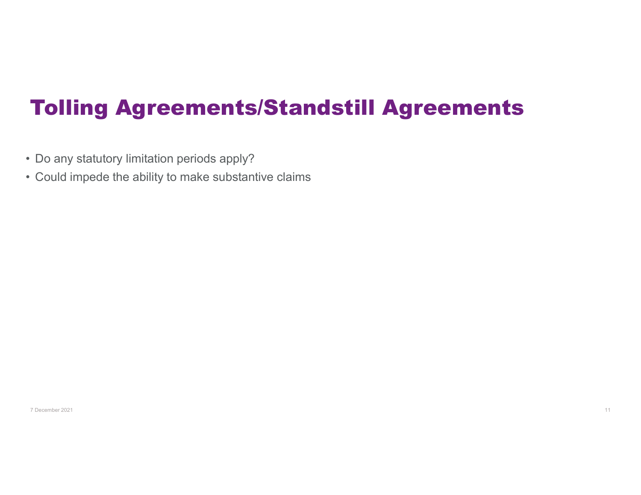# **Tolling Agreements/Stand**<br>• Do any statutory limitation periods apply?<br>• Could impede the ability to make substantive claims **Tolling Agreements/Standstill**<br>• Do any statutory limitation periods apply?<br>• Could impede the ability to make substantive claims Tolling Agreements/Standstill Agreements

- 
-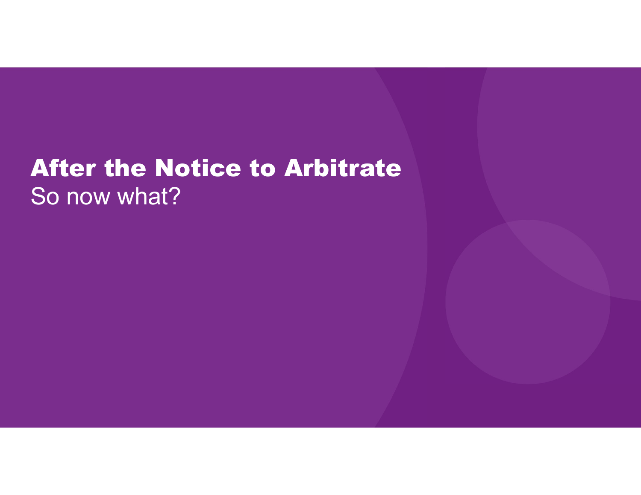### After the Notice to Arbitrate So now what?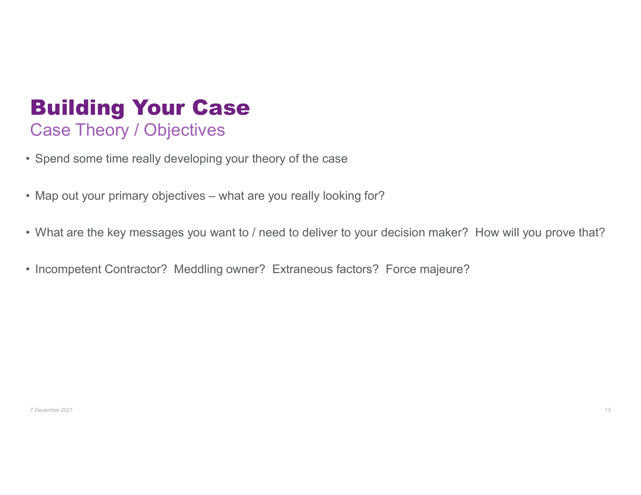## **Building Your Case**<br>• Spend some time really developing your theory of the case<br>• Map out your primary objectives – what are you really looking for? **Building Your Case**<br>• Spend some time really developing your theory of the case<br>• Map out your primary objectives – what are you really looking for?<br>• What are the key messages you want to / need to deliver to your decisi **Building Your Case**<br>• Spend some time really developing your theory of the case<br>• Map out your primary objectives – what are you really looking for?<br>• What are the key messages you want to / need to deliver to your decisi **Building Your Case**<br>
• Spend some time really developing your theory of the case<br>
• Map out your primary objectives – what are you really looking for?<br>
• What are the key messages you want to / need to deliver to your dec Building Your Case Case Theory / Objectives

- 
- 
- What are the key messages you want to / need to deliver to your decision maker? How will you prove that?<br>
Incompetent Contractor? Meddling owner? Extraneous factors? Force majeure?<br>
Therefore 2021
-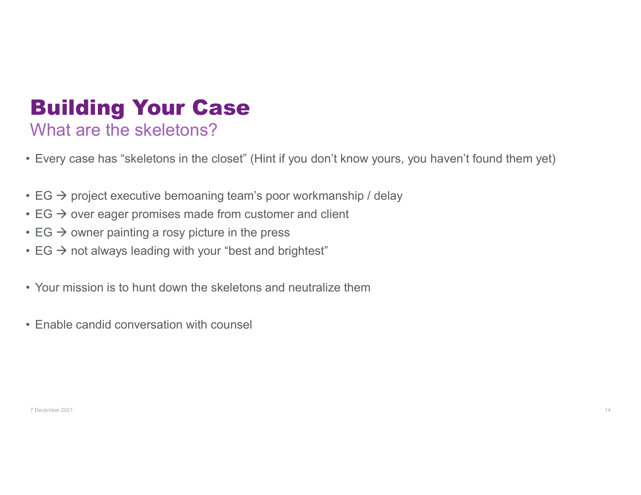## **Building Your Case**<br>
• Every case has "skeletons?<br>
• Every case has "skeletons in the closet" (Hint if you don't know yours, you haven't found them yet)<br>
• EG  $\rightarrow$  project executive bemoaning team's poor workmanship / de **Building Your Case**<br>
• Every case has "skeletons?<br>
• Every case has "skeletons in the closet" (Hint if you don't know yours, you haven't found them<br>
• EG  $\rightarrow$  project executive bemoaning team's poor workmanship / delay<br> **Building Your Case**<br>
What are the skeletons?<br>
• Every case has "skeletons in the closet" (Hint if you don't know yours, yo<br>
• EG  $\rightarrow$  project executive bemoaning team's poor workmanship / delay<br>
• EG  $\rightarrow$  over eager prom **Building Your Case**<br>
What are the skeletons?<br>
• Every case has "skeletons in the closet" (Hint if you don't know yours, your EG  $\rightarrow$  project executive bemoaning team's poor workmanship / delay<br>
• EG  $\rightarrow$  over eager promi **Building Your Case**<br>
What are the skeletons?<br>
• Every case has "skeletons in the closet" (Hint if you don't know yours<br>
• EG  $\rightarrow$  project executive bemoaning team's poor workmanship / delay<br>
• EG  $\rightarrow$  over eager promises **Building Your Case**<br>
• Every case has "skeletons?<br>
• Every case has "skeletons in the closet" (Hintif you don't know yours, you haven't found them yet)<br>
• EG  $\rightarrow$  project executive bemoaning team's poor workmanship / del • Every case has "skeletons?<br>• Every case has "skeletons in the closet" (Hint if you<br>• EG  $\rightarrow$  project executive bemoaning team's poor wo<br>• EG  $\rightarrow$  over eager promises made from customer ar<br>• EG  $\rightarrow$  over painting a rosy Building Your Case What are the skeletons?

- 
- 
- 
- 
- 
- $EG \rightarrow$  polyeot solution to binding details and by the main specifical state from customer and client  $EG \rightarrow$  owner painting a rosy picture in the press<br> $EG \rightarrow$  not always leading with your "best and brightest"<br>Your mission is
-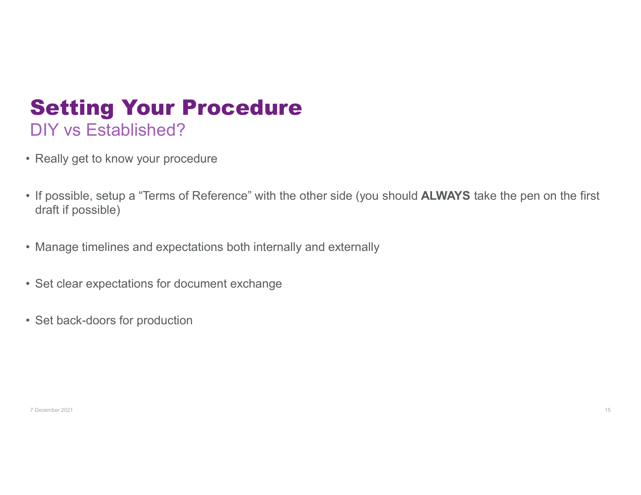# **Setting Your Procedure**<br>
DIY vs Established?<br>
• Really get to know your procedure<br>
• If possible, setup a "Terms of Reference" with the other side (<br>
• draft if possible) **Setting Your Procedure**<br>
DIY vs Established?<br>
• Really get to know your procedure<br>
• If possible, setup a "Terms of Reference" with the other side (you should *d*<br>
draft if possible)<br>
• Manage timelines and expectations b Setting Your Procedure DIY vs Established?

- 
- **Setting Your Procedure**<br>
DIY vs Established?<br>
 Really get to know your procedure<br>
 If possible, setup a "Terms of Reference" with the other side (you should ALWAYS take the pen on the first<br>
of aft if possible)<br>
 Manag draft if possible) **Setting Your Procedure**<br>
DIY vs Established?<br>
• Really get to know your procedure<br>
• If possible, setup a "Terms of Reference" with the other side (you should ALWAYS take the<br>
draft if possible)<br>
• Manage timelines and ex DIY vs Established?<br>• Really get to know your procedure<br>• If possible, setup a "Terms of Reference" with the other s<br>draft if possible)<br>• Manage timelines and expectations both internally and e<br>• Set clear expectations for These three terms of Noterting Management is the control of the control of the state of the particle in the material of the particle in the matrix of the particle in the matrix of the particle in the matrix of the particle
- 
- 
-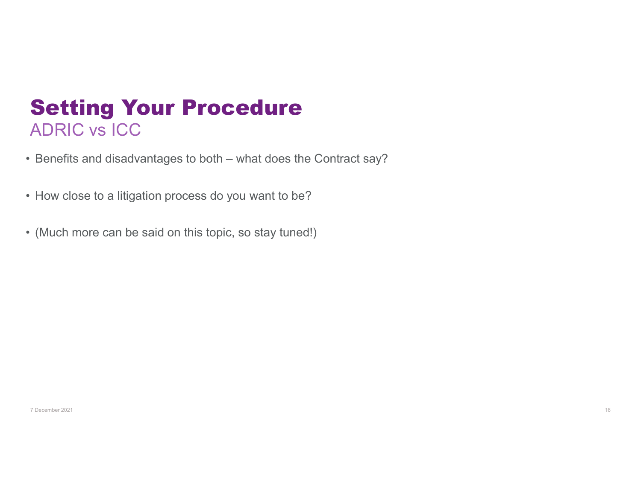# **Setting Your Procedure**<br>
ADRIC vs ICC<br>
• Benefits and disadvantages to both – what does the Contract say?<br>
• How close to a litigation process do you want to be? **Setting Your Procedure**<br>
ADRIC vs ICC<br>
• Benefits and disadvantages to both – what does the Contract say?<br>
• How close to a litigation process do you want to be?<br>
• (Much more can be said on this topic, so stay tuned!) **Setting Your Procedure**<br>
ADRIC vs ICC<br>
• Benefits and disadvantages to both – what does the Contract say?<br>
• How close to a litigation process do you want to be?<br>
• (Much more can be said on this topic, so stay tuned!) Setting Your Procedure **Setting Your Procedure**<br>ADRIC vs ICC<br>Benefits and disadvantages to both – what does the Contract

- 
- 
- $(Much more can be said on this topic, so stay tuned!)$ <br> $( Wuch more can be said on this topic, so stay tuned!)$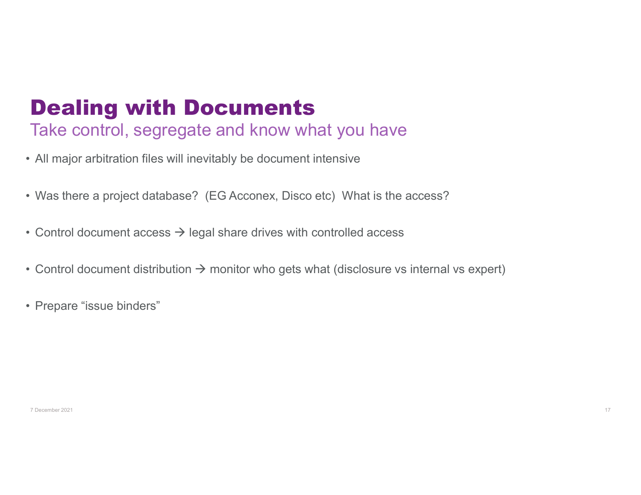## **Dealing with Documents**<br>
Take control, segregate and know what you have<br>
• All major arbitration files will inevitably be document intensive<br>
• Was there a project database? (EG Acconex, Disco etc) What is the acces **Dealing with Documents**<br>
Take control, segregate and know what you have<br>
All major arbitration files will inevitably be document intensive<br>
• Was there a project database? (EG Acconex, Disco etc) What is the access?<br>
• C **Dealing with Documents**<br>
Take control, segregate and know what you have<br>
All major arbitration files will inevitably be document intensive<br>
• Was there a project database? (EG Acconex, Disco etc) What is the access?<br>
• C **Dealing with Documents**<br>
• All major arbitration files will inevitably be document intensive<br>
• Was there a project database? (EG Acconex, Disco etc) What is the access?<br>
• Control document access  $\rightarrow$  legal share drives **Dealing with Document**<br>Take control, segregate and know v<br>• All major arbitration files will inevitably be docume<br>• Was there a project database? (EG Acconex, Dis<br>• Control document access  $\rightarrow$  legal share drives wit<br>• C Dealing with Documents Take control, segregate and know what you have

- 
- 
- 
- From the decoration of the state of the state of the state of the state of the state of the state of the state of the state of the state of the state of the state of the state of the state of the state of the state of the
-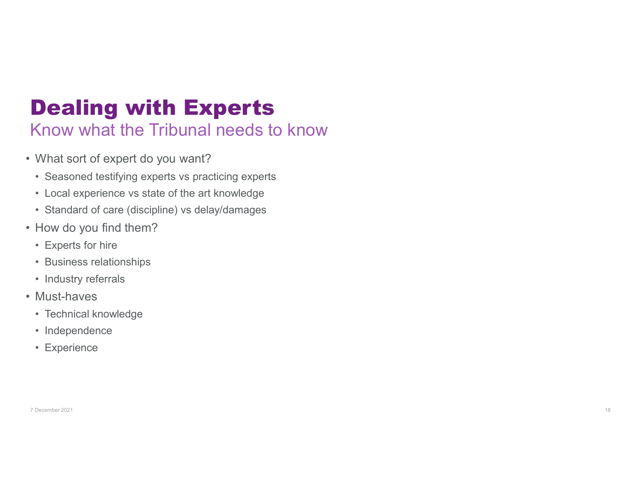## **Dealing with Experts**<br>
Know what the Tribunal needs to know<br>
• What sort of expert do you want?<br>
• Seasoned testifying experts vs practicing experts<br>
• Local experience vs state of the art knowledge<br>
• Standard of care (d **Dealing with Experts**<br>
Know what the Tribunal needs to know<br>
What sort of expert do you want?<br>
• Seasoned testifying experts vs practicing experts<br>
• Local experience vs state of the art knowledge<br>
• Standard of care (dis **Dealing with Experts**<br>
Show what the Tribunal needs to know<br>
What sort of expert do you want?<br>
• Seasoned testifying experts vs practicing experts<br>
• Local experience vs state of the art knowledge<br>
• Standard of care (dis **Dealing with Experts**<br>
Show what the Tribunal needs to know<br>
What sort of expert do you want?<br>
• Seasoned testifying experts vs practicing experts<br>
• Local experience vs state of the art knowledge<br>
• Standard of care (dis **Dealing with Experts**<br>
Know what the Tribunal needs to kr<br>
• What sort of expert do you want?<br>
• Seasoned testifying experts vs practicing experts<br>
• Local experience vs state of the art knowledge<br>
• Standard of care (dis **Dealing with Experts**<br>
Show what the Tribunal needs to know<br>
What sort of expert do you want?<br>
• Seasoned testifying experts vs practicing experts<br>
• Local experience vs state of the art knowledge<br>
• Standard of care (dis **Dealing with Experts**<br>
Show what the Tribunal needs to know<br>
What sort of expert do you want?<br>
• Seasoned testifying experts vs practicing experts<br>
• Local experience vs state of the art knowledge<br>
• Standard of care (dis **Dealing with Experts**<br>
Show what the Tribunal needs to know<br>
What sort of expert do you want?<br>
• Seasoned testifying experts vs practicing experts<br>
• Local experience vs state of the art knowledge<br>
• Standard of care (dis **Dealing with Experts**<br>
Know what the Tribunal needs to kr<br>
• What sort of expert do you want?<br>
• Seasoned testifying experts vs practicing experts<br>
• Local experience vs state of the art knowledge<br>
• Standard of care (dis Dealing with Experts

# **Dealing with Experts**<br>
Show what the Tribunal needs to know<br>
What sort of expert do you want?<br>
• Seasoned testifying experts vs practicing experts<br>
• Local experience vs state of the art knowledge<br>
• Standard of care (dis Show what the Tribunal needs to know<br>
What sort of expert do you want?<br>
• Seasoned testifying experts vs practicing experts<br>
• Local experience vs state of the art knowledge<br>
• Standard of care (discipline) vs delay/damag Know what the Tribunal needs to know

- 
- What sort of expert do you want?<br>
 Seasoned testifying experts vs practicing experts<br>
 Local experience vs state of the art knowledge<br>
 Standard of care (discipline) vs delay/damages<br>
How do you find them?<br>
 Experts fo
	-
- Standard of care (discipline) vs delay/damages<br>
How do you find them?<br>
 Experts for hire<br>
 Business relationships<br>
 Industry referrals<br>
Must-haves<br>
 Technical knowledge<br>
 Independence<br>
 Experience<br>
 Experience<br>
•
- -
	-
	-
- -
	-
	-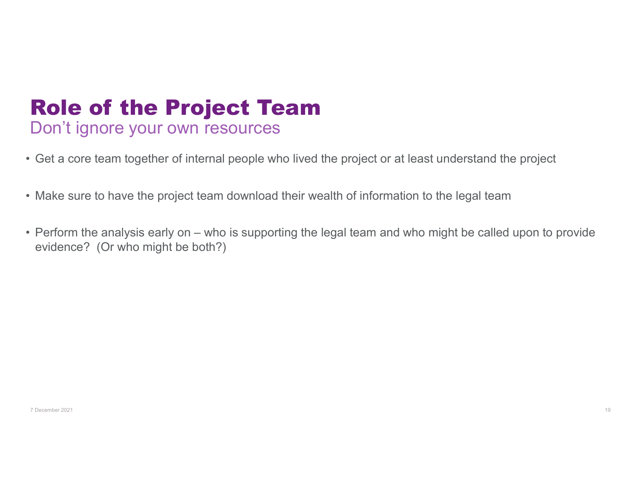# **Role of the Project Team**<br> **Condensity** Don't ignore your own resources<br>
• Get a core team together of internal people who lived the project or at least understand the project<br>
• Make sure to have the project team downloa Role of the Project Team Don't ignore your own resources

- 
- 
- **Role of the Project Team**<br>
 Get a core team together of internal people who lived the project or at least understand the project<br>
 Make sure to have the project team download their wealth of information to the legal tea **Fighthance Solution**<br>
• Get a core team together of internal people who lived the project or at least understand the project<br>
• Make sure to have the project team download their wealth of information to the legal team<br>
• evidence? (Or who might be both?) Perform the analysis early on – who is supporting the legal team and who might be called upon to provide<br>evidence? (Or who might be both?)<br>evidence? (Or who might be both?)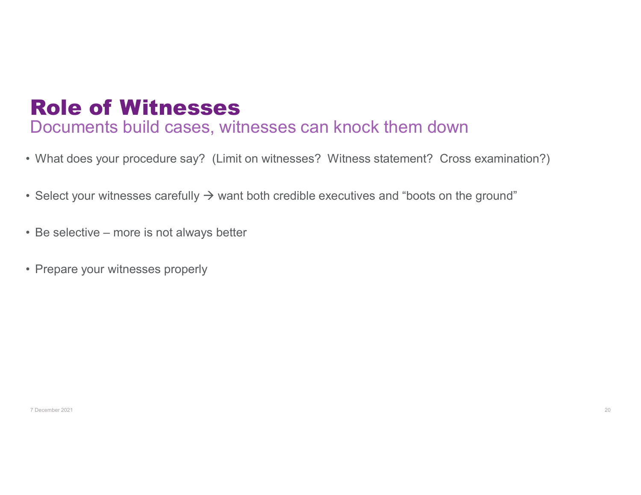## **Role of Witnesses**<br>
Documents build cases, witnesses can knock them down<br>
• What does your procedure say? (Limit on witnesses? Witness statement? Cross examination?)<br>
• Select your witnesses carefully  $\rightarrow$  want both cred **Role of Witnesses**<br>
Documents build cases, witnesses can knock them down<br>
• What does your procedure say? (Limit on witnesses? Witness statement? Cross examination?)<br>
• Select your witnesses carefully  $\rightarrow$  want both cred **Role of Witnesses**<br>
Documents build cases, witnesses can knock<br>
• What does your procedure say? (Limit on witnesses? Witness s<br>
• Select your witnesses carefully  $\rightarrow$  want both credible executives<br>
• Be selective – more i **Role of Witnesses**<br>
Documents build cases, witnesses<br>
• What does your procedure say? (Limit on witnesses<br>
• Select your witnesses carefully  $\rightarrow$  want both credity<br>
• Be selective – more is not always better<br>
• Prepare y Role of Witnesses Documents build cases, witnesses can knock them down

- 
- 
- Be selective more is not always better<br>
Prepare your witnesses properly<br>
Therefore your witnesses properly<br>
Therefore your witnesses properly<br>
Therefore your witnesses properly<br>
Therefore your witnesses properly<br>
Therefo
-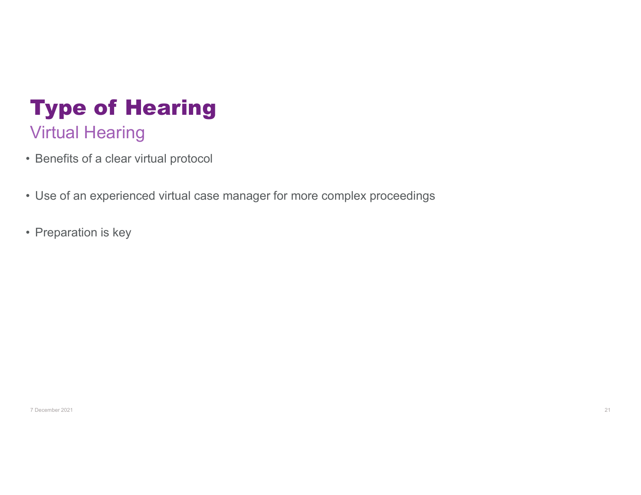# **Type of Hearing**<br>
Virtual Hearing<br>
• Benefits of a clear virtual protocol<br>
• Use of an experienced virtual case manager for m **Type of Hearing**<br>• Benefits of a clear virtual protocol<br>• Use of an experienced virtual case manager for more complex proceedings<br>• Preparation is key **Type of Hearing**<br>Virtual Hearing<br>• Benefits of a clear virtual protocol<br>• Use of an experienced virtual case manager for m<br>• Preparation is key Type of Hearing Virtual Hearing

- 
- Preparation is key<br>Preparation is key<br>Therefore 2021
-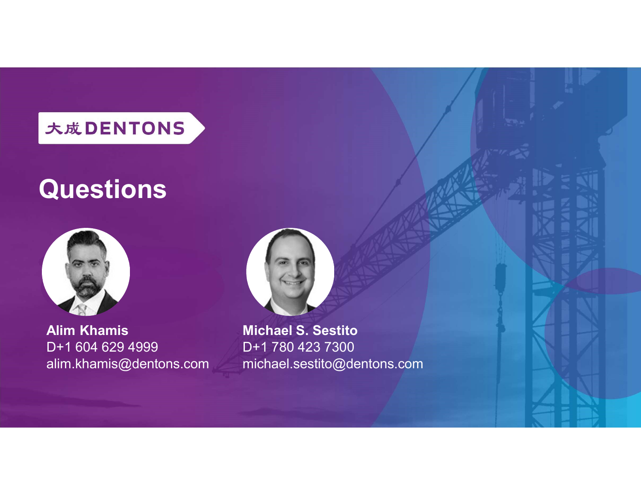#### 大成DENTONS

## Questions



Alim Khamis



alim.khamis@dentons.com michael.sestito@dentons.comMichael S. Sestito D+1 780 423 7300